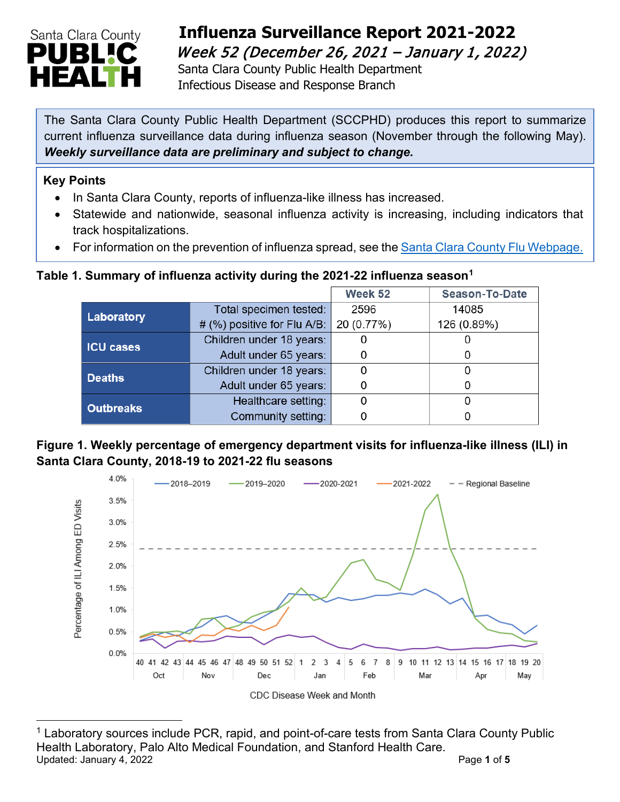

# **Influenza Surveillance Report 2021-2022**  Week 52 (December 26, 2021 – January 1, 2022)

Santa Clara County Public Health Department Infectious Disease and Response Branch

The Santa Clara County Public Health Department (SCCPHD) produces this report to summarize current influenza surveillance data during influenza season (November through the following May). *Weekly surveillance data are preliminary and subject to change.*

#### **Key Points**

- In Santa Clara County, reports of influenza-like illness has increased.
- Statewide and nationwide, seasonal influenza activity is increasing, including indicators that track hospitalizations.
- For information on the prevention of influenza spread, see the [Santa Clara County Flu Webpage.](https://publichealth.sccgov.org/disease-information/influenza-flu)

### **Table 1. Summary of influenza activity during the 2021-22 influenza season[1](#page-0-0)**

|                  |                             | Week 52    | <b>Season-To-Date</b> |
|------------------|-----------------------------|------------|-----------------------|
| Laboratory       | Total specimen tested:      | 2596       | 14085                 |
|                  | # (%) positive for Flu A/B: | 20 (0.77%) | 126 (0.89%)           |
| <b>ICU cases</b> | Children under 18 years:    |            |                       |
|                  | Adult under 65 years:       |            |                       |
| <b>Deaths</b>    | Children under 18 years:    |            |                       |
|                  | Adult under 65 years:       |            |                       |
| <b>Outbreaks</b> | Healthcare setting:         |            |                       |
|                  | Community setting:          |            |                       |

### **Figure 1. Weekly percentage of emergency department visits for influenza-like illness (ILI) in Santa Clara County, 2018-19 to 2021-22 flu seasons**



<span id="page-0-0"></span>**<sup>1 5</sup>** <sup>1</sup> Laboratory sources include PCR, rapid, and point-of-care tests from Santa Clara County Public Health Laboratory, Palo Alto Medical Foundation, and Stanford Health Care. Updated: January 4, 2022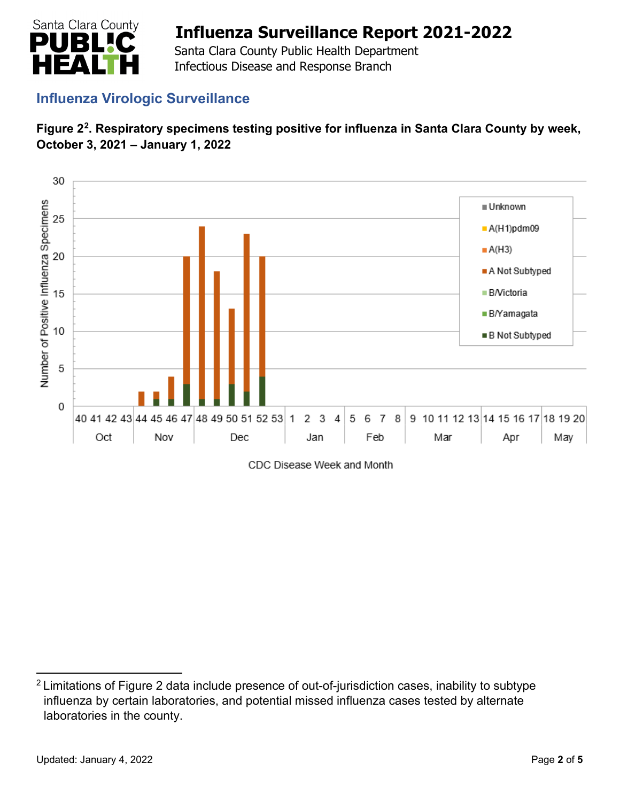

 Santa Clara County Public Health Department Infectious Disease and Response Branch

## **Influenza Virologic Surveillance**





CDC Disease Week and Month

<span id="page-1-0"></span><sup>&</sup>lt;sup>2</sup> Limitations of Figure 2 data include presence of out-of-jurisdiction cases, inability to subtype influenza by certain laboratories, and potential missed influenza cases tested by alternate laboratories in the county.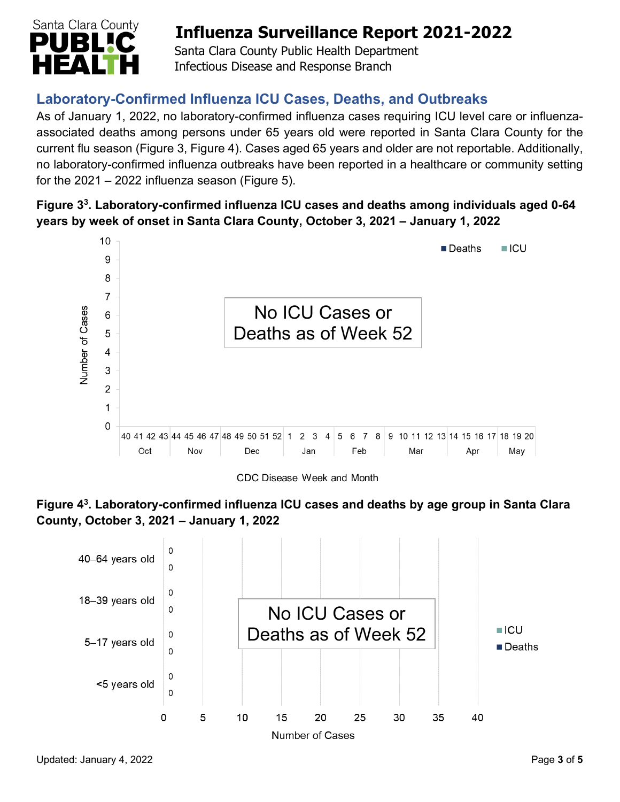

 Santa Clara County Public Health Department Infectious Disease and Response Branch

## **Laboratory-Confirmed Influenza ICU Cases, Deaths, and Outbreaks**

As of January 1, 2022, no laboratory-confirmed influenza cases requiring ICU level care or influenzaassociated deaths among persons under 65 years old were reported in Santa Clara County for the current flu season (Figure 3, Figure 4). Cases aged 65 years and older are not reportable. Additionally, no laboratory-confirmed influenza outbreaks have been reported in a healthcare or community setting for the  $2021 - 2022$  influenza season (Figure 5).

### **Figure 33. Laboratory-confirmed influenza ICU cases and deaths among individuals aged 0-64 years by week of onset in Santa Clara County, October 3, 2021 – January 1, 2022**



**Figure 43. Laboratory-confirmed influenza ICU cases and deaths by age group in Santa Clara County, October 3, 2021 – January 1, 2022**

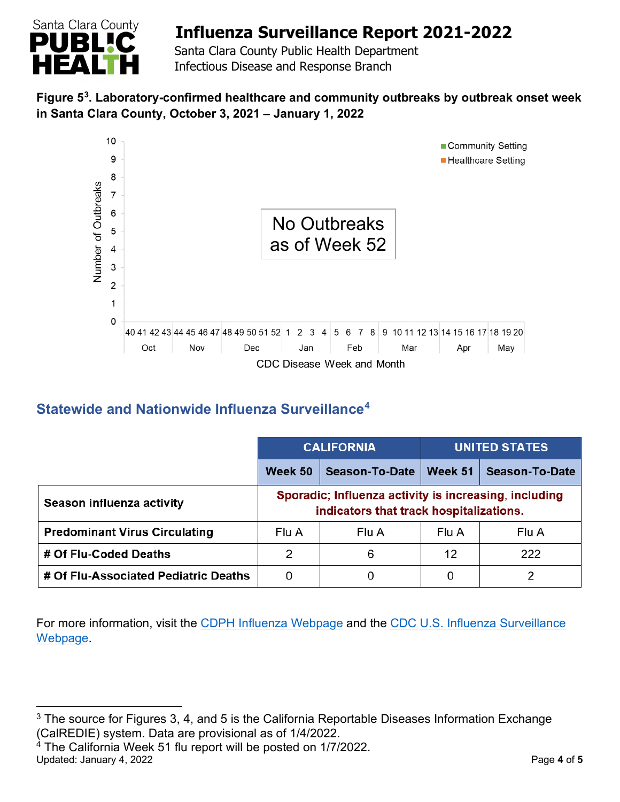

 Santa Clara County Public Health Department Infectious Disease and Response Branch

### **Figure 5[3](#page-3-0) . Laboratory-confirmed healthcare and community outbreaks by outbreak onset week in Santa Clara County, October 3, 2021 – January 1, 2022**



## **Statewide and Nationwide Influenza Surveillance[4](#page-3-1)**

|                                      | <b>CALIFORNIA</b>                                                                                |                       | <b>UNITED STATES</b> |                |  |
|--------------------------------------|--------------------------------------------------------------------------------------------------|-----------------------|----------------------|----------------|--|
|                                      | Week 50                                                                                          | <b>Season-To-Date</b> | Week 51              | Season-To-Date |  |
| Season influenza activity            | Sporadic; Influenza activity is increasing, including<br>indicators that track hospitalizations. |                       |                      |                |  |
| <b>Predominant Virus Circulating</b> | Flu A                                                                                            | Flu A                 | Flu A                | Flu A          |  |
| # Of Flu-Coded Deaths                | 2                                                                                                | 6                     | 12                   | 222            |  |
| # Of Flu-Associated Pediatric Deaths | 0                                                                                                |                       | 0                    | 2              |  |

For more information, visit the [CDPH Influenza Webpage](http://www.cdph.ca.gov/Programs/CID/DCDC/Pages/Immunization/Influenza.aspx) and the [CDC U.S. Influenza Surveillance](http://www.cdc.gov/flu/weekly/)  [Webpage.](http://www.cdc.gov/flu/weekly/)

<span id="page-3-1"></span> $4$  The California Week 51 flu report will be posted on 1/7/2022. Updated: January 4, 2022 **Page 4** of **5** 

<span id="page-3-0"></span> $3$  The source for Figures 3, 4, and 5 is the California Reportable Diseases Information Exchange (CalREDIE) system. Data are provisional as of 1/4/2022.